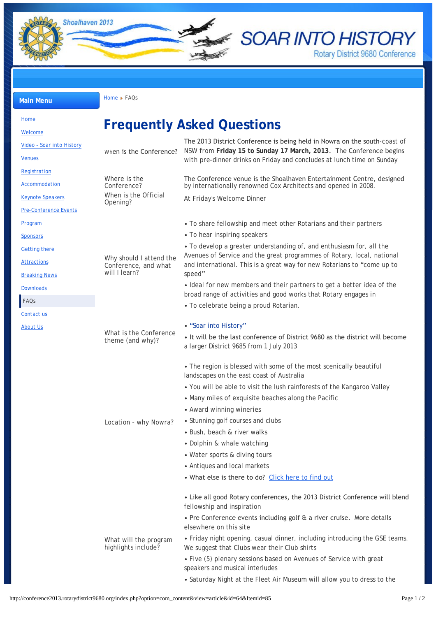

**E SOAR INTO HISTORY** Rotary District 9680 Conference

**Main Menu [Home](http://conference2013.rotarydistrict9680.org/) FAQs** 

| <b>Home</b>                                |                                                                                                                     |                                                                                                                                                                                                                                     |  |
|--------------------------------------------|---------------------------------------------------------------------------------------------------------------------|-------------------------------------------------------------------------------------------------------------------------------------------------------------------------------------------------------------------------------------|--|
| Welcome                                    |                                                                                                                     | <b>Frequently Asked Questions</b>                                                                                                                                                                                                   |  |
| Video - Soar into History                  | When is the Conference?                                                                                             | The 2013 District Conference is being held in Nowra on the south-coast of<br>NSW from Friday 15 to Sunday 17 March, 2013. The Conference begins<br>with pre-dinner drinks on Friday and concludes at lunch time on Sunday           |  |
| <b>Venues</b>                              |                                                                                                                     |                                                                                                                                                                                                                                     |  |
|                                            |                                                                                                                     |                                                                                                                                                                                                                                     |  |
| Registration                               | Where is the<br>Conference?<br>When is the Official<br>Opening?                                                     | The Conference venue is the Shoalhaven Entertainment Centre, designed                                                                                                                                                               |  |
| Accommodation                              |                                                                                                                     | by internationally renowned Cox Architects and opened in 2008.                                                                                                                                                                      |  |
| <b>Keynote Speakers</b>                    |                                                                                                                     | At Friday's Welcome Dinner                                                                                                                                                                                                          |  |
| <b>Pre-Conference Events</b>               |                                                                                                                     |                                                                                                                                                                                                                                     |  |
| Program                                    | Why should I attend the<br>Conference, and what<br>will I learn?                                                    | • To share fellowship and meet other Rotarians and their partners                                                                                                                                                                   |  |
| <b>Sponsors</b>                            |                                                                                                                     | • To hear inspiring speakers                                                                                                                                                                                                        |  |
| <b>Getting there</b>                       |                                                                                                                     | • To develop a greater understanding of, and enthusiasm for, all the<br>Avenues of Service and the great programmes of Rotary, local, national<br>and international. This is a great way for new Rotarians to "come up to<br>speed" |  |
| <b>Attractions</b><br><b>Breaking News</b> |                                                                                                                     |                                                                                                                                                                                                                                     |  |
| <b>Downloads</b>                           |                                                                                                                     | · Ideal for new members and their partners to get a better idea of the<br>broad range of activities and good works that Rotary engages in                                                                                           |  |
| FAQs                                       |                                                                                                                     | • To celebrate being a proud Rotarian.                                                                                                                                                                                              |  |
| Contact us                                 |                                                                                                                     |                                                                                                                                                                                                                                     |  |
| About Us                                   | What is the Conference<br>theme (and why)?<br>Location - why Nowra?<br>What will the program<br>highlights include? | • "Soar into History"                                                                                                                                                                                                               |  |
|                                            |                                                                                                                     | • It will be the last conference of District 9680 as the district will become<br>a larger District 9685 from 1 July 2013                                                                                                            |  |
|                                            |                                                                                                                     | • The region is blessed with some of the most scenically beautiful<br>landscapes on the east coast of Australia                                                                                                                     |  |
|                                            |                                                                                                                     | • You will be able to visit the lush rainforests of the Kangaroo Valley                                                                                                                                                             |  |
|                                            |                                                                                                                     | • Many miles of exquisite beaches along the Pacific                                                                                                                                                                                 |  |
|                                            |                                                                                                                     | • Award winning wineries                                                                                                                                                                                                            |  |
|                                            |                                                                                                                     | • Stunning golf courses and clubs                                                                                                                                                                                                   |  |
|                                            |                                                                                                                     | • Bush, beach & river walks                                                                                                                                                                                                         |  |
|                                            |                                                                                                                     | • Dolphin & whale watching                                                                                                                                                                                                          |  |
|                                            |                                                                                                                     | • Water sports & diving tours                                                                                                                                                                                                       |  |
|                                            |                                                                                                                     | • Antiques and local markets                                                                                                                                                                                                        |  |
|                                            |                                                                                                                     | . What else is there to do? Click here to find out                                                                                                                                                                                  |  |
|                                            |                                                                                                                     | • Like all good Rotary conferences, the 2013 District Conference will blend<br>fellowship and inspiration                                                                                                                           |  |
|                                            |                                                                                                                     | • Pre Conference events including golf & a river cruise. More details<br>elsewhere on this site                                                                                                                                     |  |
|                                            |                                                                                                                     | • Friday night opening, casual dinner, including introducing the GSE teams.<br>We suggest that Clubs wear their Club shirts                                                                                                         |  |
|                                            |                                                                                                                     | • Five (5) plenary sessions based on Avenues of Service with great<br>speakers and musical interludes                                                                                                                               |  |
|                                            |                                                                                                                     | • Saturday Night at the Fleet Air Museum will allow you to dress to the                                                                                                                                                             |  |